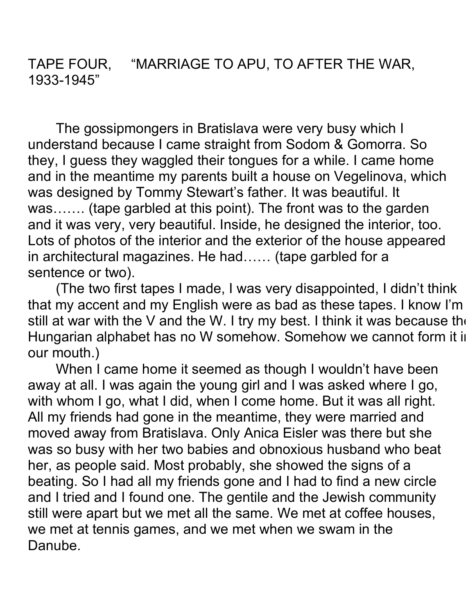TAPE FOUR, "MARRIAGE TO APU, TO AFTER THE WAR, 1933-1945"

The gossipmongers in Bratislava were very busy which I understand because I came straight from Sodom & Gomorra. So they, I guess they waggled their tongues for a while. I came home and in the meantime my parents built a house on Vegelinova, which was designed by Tommy Stewart's father. It was beautiful. It was……. (tape garbled at this point). The front was to the garden and it was very, very beautiful. Inside, he designed the interior, too. Lots of photos of the interior and the exterior of the house appeared in architectural magazines. He had…… (tape garbled for a sentence or two).

(The two first tapes I made, I was very disappointed, I didn't think that my accent and my English were as bad as these tapes. I know I'm still at war with the V and the W. I try my best. I think it was because the Hungarian alphabet has no W somehow. Somehow we cannot form it in our mouth.)

When I came home it seemed as though I wouldn't have been away at all. I was again the young girl and I was asked where I go, with whom I go, what I did, when I come home. But it was all right. All my friends had gone in the meantime, they were married and moved away from Bratislava. Only Anica Eisler was there but she was so busy with her two babies and obnoxious husband who beat her, as people said. Most probably, she showed the signs of a beating. So I had all my friends gone and I had to find a new circle and I tried and I found one. The gentile and the Jewish community still were apart but we met all the same. We met at coffee houses, we met at tennis games, and we met when we swam in the Danube.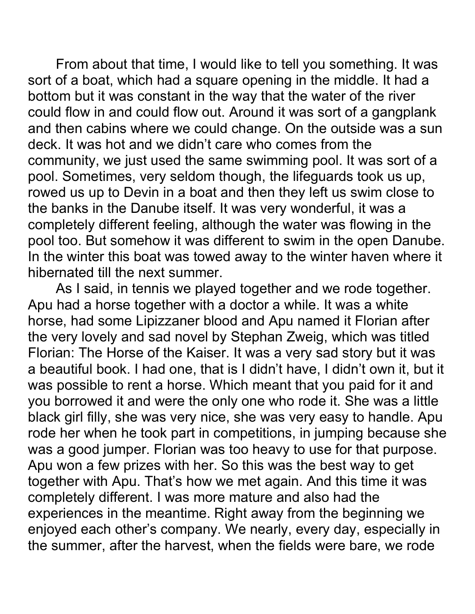From about that time, I would like to tell you something. It was sort of a boat, which had a square opening in the middle. It had a bottom but it was constant in the way that the water of the river could flow in and could flow out. Around it was sort of a gangplank and then cabins where we could change. On the outside was a sun deck. It was hot and we didn't care who comes from the community, we just used the same swimming pool. It was sort of a pool. Sometimes, very seldom though, the lifeguards took us up, rowed us up to Devin in a boat and then they left us swim close to the banks in the Danube itself. It was very wonderful, it was a completely different feeling, although the water was flowing in the pool too. But somehow it was different to swim in the open Danube. In the winter this boat was towed away to the winter haven where it hibernated till the next summer.

As I said, in tennis we played together and we rode together. Apu had a horse together with a doctor a while. It was a white horse, had some Lipizzaner blood and Apu named it Florian after the very lovely and sad novel by Stephan Zweig, which was titled Florian: The Horse of the Kaiser. It was a very sad story but it was a beautiful book. I had one, that is I didn't have, I didn't own it, but it was possible to rent a horse. Which meant that you paid for it and you borrowed it and were the only one who rode it. She was a little black girl filly, she was very nice, she was very easy to handle. Apu rode her when he took part in competitions, in jumping because she was a good jumper. Florian was too heavy to use for that purpose. Apu won a few prizes with her. So this was the best way to get together with Apu. That's how we met again. And this time it was completely different. I was more mature and also had the experiences in the meantime. Right away from the beginning we enjoyed each other's company. We nearly, every day, especially in the summer, after the harvest, when the fields were bare, we rode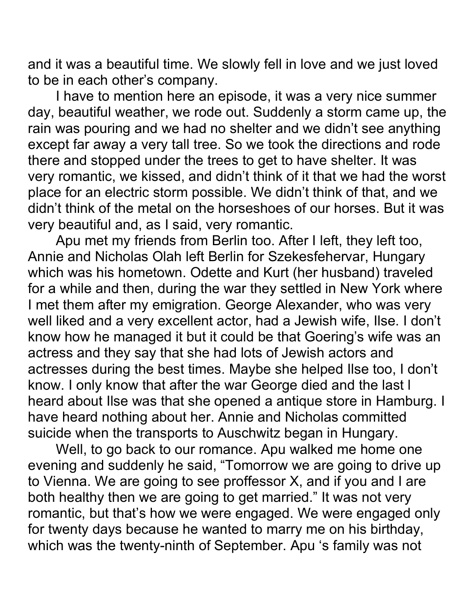and it was a beautiful time. We slowly fell in love and we just loved to be in each other's company.

I have to mention here an episode, it was a very nice summer day, beautiful weather, we rode out. Suddenly a storm came up, the rain was pouring and we had no shelter and we didn't see anything except far away a very tall tree. So we took the directions and rode there and stopped under the trees to get to have shelter. It was very romantic, we kissed, and didn't think of it that we had the worst place for an electric storm possible. We didn't think of that, and we didn't think of the metal on the horseshoes of our horses. But it was very beautiful and, as I said, very romantic.

Apu met my friends from Berlin too. After I left, they left too, Annie and Nicholas Olah left Berlin for Szekesfehervar, Hungary which was his hometown. Odette and Kurt (her husband) traveled for a while and then, during the war they settled in New York where I met them after my emigration. George Alexander, who was very well liked and a very excellent actor, had a Jewish wife, Ilse. I don't know how he managed it but it could be that Goering's wife was an actress and they say that she had lots of Jewish actors and actresses during the best times. Maybe she helped Ilse too, I don't know. I only know that after the war George died and the last l heard about Ilse was that she opened a antique store in Hamburg. I have heard nothing about her. Annie and Nicholas committed suicide when the transports to Auschwitz began in Hungary.

Well, to go back to our romance. Apu walked me home one evening and suddenly he said, "Tomorrow we are going to drive up to Vienna. We are going to see proffessor X, and if you and I are both healthy then we are going to get married." It was not very romantic, but that's how we were engaged. We were engaged only for twenty days because he wanted to marry me on his birthday, which was the twenty-ninth of September. Apu 's family was not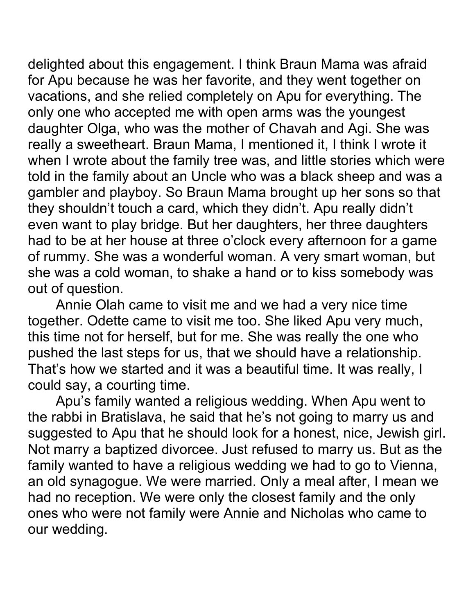delighted about this engagement. I think Braun Mama was afraid for Apu because he was her favorite, and they went together on vacations, and she relied completely on Apu for everything. The only one who accepted me with open arms was the youngest daughter Olga, who was the mother of Chavah and Agi. She was really a sweetheart. Braun Mama, I mentioned it, I think I wrote it when I wrote about the family tree was, and little stories which were told in the family about an Uncle who was a black sheep and was a gambler and playboy. So Braun Mama brought up her sons so that they shouldn't touch a card, which they didn't. Apu really didn't even want to play bridge. But her daughters, her three daughters had to be at her house at three o'clock every afternoon for a game of rummy. She was a wonderful woman. A very smart woman, but she was a cold woman, to shake a hand or to kiss somebody was out of question.

Annie Olah came to visit me and we had a very nice time together. Odette came to visit me too. She liked Apu very much, this time not for herself, but for me. She was really the one who pushed the last steps for us, that we should have a relationship. That's how we started and it was a beautiful time. It was really, I could say, a courting time.

Apu's family wanted a religious wedding. When Apu went to the rabbi in Bratislava, he said that he's not going to marry us and suggested to Apu that he should look for a honest, nice, Jewish girl. Not marry a baptized divorcee. Just refused to marry us. But as the family wanted to have a religious wedding we had to go to Vienna, an old synagogue. We were married. Only a meal after, I mean we had no reception. We were only the closest family and the only ones who were not family were Annie and Nicholas who came to our wedding.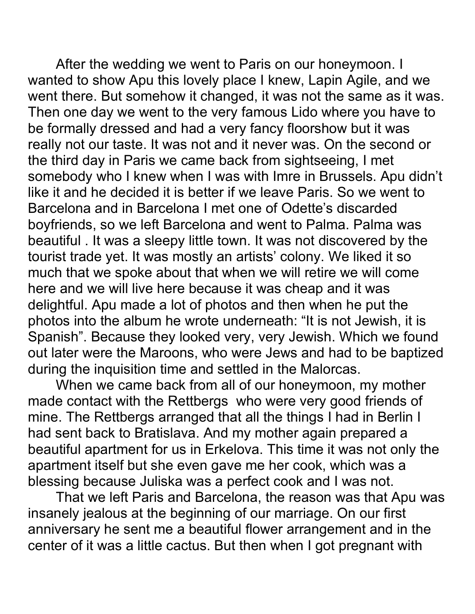After the wedding we went to Paris on our honeymoon. I wanted to show Apu this lovely place I knew, Lapin Agile, and we went there. But somehow it changed, it was not the same as it was. Then one day we went to the very famous Lido where you have to be formally dressed and had a very fancy floorshow but it was really not our taste. It was not and it never was. On the second or the third day in Paris we came back from sightseeing, I met somebody who I knew when I was with Imre in Brussels. Apu didn't like it and he decided it is better if we leave Paris. So we went to Barcelona and in Barcelona I met one of Odette's discarded boyfriends, so we left Barcelona and went to Palma. Palma was beautiful . It was a sleepy little town. It was not discovered by the tourist trade yet. It was mostly an artists' colony. We liked it so much that we spoke about that when we will retire we will come here and we will live here because it was cheap and it was delightful. Apu made a lot of photos and then when he put the photos into the album he wrote underneath: "It is not Jewish, it is Spanish". Because they looked very, very Jewish. Which we found out later were the Maroons, who were Jews and had to be baptized during the inquisition time and settled in the Malorcas.

When we came back from all of our honeymoon, my mother made contact with the Rettbergs who were very good friends of mine. The Rettbergs arranged that all the things I had in Berlin I had sent back to Bratislava. And my mother again prepared a beautiful apartment for us in Erkelova. This time it was not only the apartment itself but she even gave me her cook, which was a blessing because Juliska was a perfect cook and I was not.

That we left Paris and Barcelona, the reason was that Apu was insanely jealous at the beginning of our marriage. On our first anniversary he sent me a beautiful flower arrangement and in the center of it was a little cactus. But then when I got pregnant with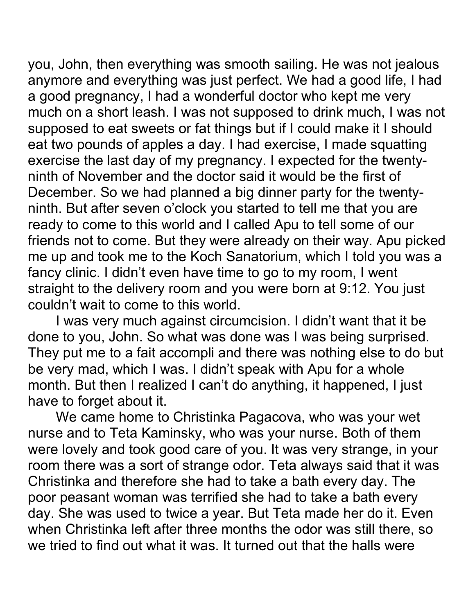you, John, then everything was smooth sailing. He was not jealous anymore and everything was just perfect. We had a good life, I had a good pregnancy, I had a wonderful doctor who kept me very much on a short leash. I was not supposed to drink much, I was not supposed to eat sweets or fat things but if I could make it I should eat two pounds of apples a day. I had exercise, I made squatting exercise the last day of my pregnancy. I expected for the twentyninth of November and the doctor said it would be the first of December. So we had planned a big dinner party for the twentyninth. But after seven o'clock you started to tell me that you are ready to come to this world and I called Apu to tell some of our friends not to come. But they were already on their way. Apu picked me up and took me to the Koch Sanatorium, which I told you was a fancy clinic. I didn't even have time to go to my room, I went straight to the delivery room and you were born at 9:12. You just couldn't wait to come to this world.

I was very much against circumcision. I didn't want that it be done to you, John. So what was done was I was being surprised. They put me to a fait accompli and there was nothing else to do but be very mad, which I was. I didn't speak with Apu for a whole month. But then I realized I can't do anything, it happened, I just have to forget about it.

We came home to Christinka Pagacova, who was your wet nurse and to Teta Kaminsky, who was your nurse. Both of them were lovely and took good care of you. It was very strange, in your room there was a sort of strange odor. Teta always said that it was Christinka and therefore she had to take a bath every day. The poor peasant woman was terrified she had to take a bath every day. She was used to twice a year. But Teta made her do it. Even when Christinka left after three months the odor was still there, so we tried to find out what it was. It turned out that the halls were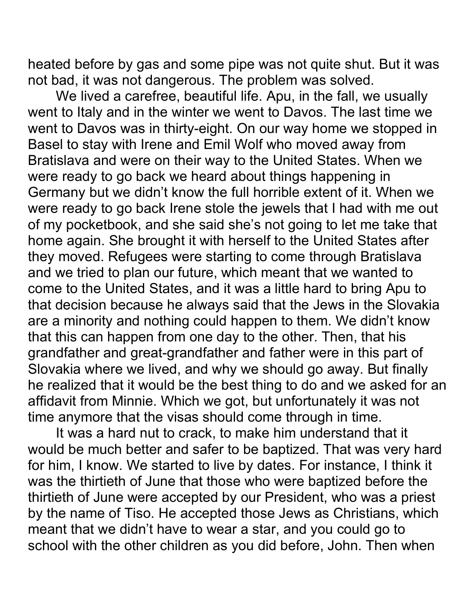heated before by gas and some pipe was not quite shut. But it was not bad, it was not dangerous. The problem was solved.

We lived a carefree, beautiful life. Apu, in the fall, we usually went to Italy and in the winter we went to Davos. The last time we went to Davos was in thirty-eight. On our way home we stopped in Basel to stay with Irene and Emil Wolf who moved away from Bratislava and were on their way to the United States. When we were ready to go back we heard about things happening in Germany but we didn't know the full horrible extent of it. When we were ready to go back Irene stole the jewels that I had with me out of my pocketbook, and she said she's not going to let me take that home again. She brought it with herself to the United States after they moved. Refugees were starting to come through Bratislava and we tried to plan our future, which meant that we wanted to come to the United States, and it was a little hard to bring Apu to that decision because he always said that the Jews in the Slovakia are a minority and nothing could happen to them. We didn't know that this can happen from one day to the other. Then, that his grandfather and great-grandfather and father were in this part of Slovakia where we lived, and why we should go away. But finally he realized that it would be the best thing to do and we asked for an affidavit from Minnie. Which we got, but unfortunately it was not time anymore that the visas should come through in time.

It was a hard nut to crack, to make him understand that it would be much better and safer to be baptized. That was very hard for him, I know. We started to live by dates. For instance, I think it was the thirtieth of June that those who were baptized before the thirtieth of June were accepted by our President, who was a priest by the name of Tiso. He accepted those Jews as Christians, which meant that we didn't have to wear a star, and you could go to school with the other children as you did before, John. Then when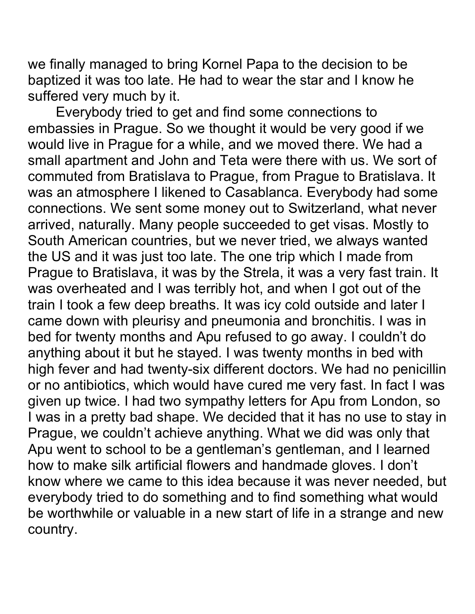we finally managed to bring Kornel Papa to the decision to be baptized it was too late. He had to wear the star and I know he suffered very much by it.

Everybody tried to get and find some connections to embassies in Prague. So we thought it would be very good if we would live in Prague for a while, and we moved there. We had a small apartment and John and Teta were there with us. We sort of commuted from Bratislava to Prague, from Prague to Bratislava. It was an atmosphere I likened to Casablanca. Everybody had some connections. We sent some money out to Switzerland, what never arrived, naturally. Many people succeeded to get visas. Mostly to South American countries, but we never tried, we always wanted the US and it was just too late. The one trip which I made from Prague to Bratislava, it was by the Strela, it was a very fast train. It was overheated and I was terribly hot, and when I got out of the train I took a few deep breaths. It was icy cold outside and later I came down with pleurisy and pneumonia and bronchitis. I was in bed for twenty months and Apu refused to go away. I couldn't do anything about it but he stayed. I was twenty months in bed with high fever and had twenty-six different doctors. We had no penicillin or no antibiotics, which would have cured me very fast. In fact I was given up twice. I had two sympathy letters for Apu from London, so I was in a pretty bad shape. We decided that it has no use to stay in Prague, we couldn't achieve anything. What we did was only that Apu went to school to be a gentleman's gentleman, and I learned how to make silk artificial flowers and handmade gloves. I don't know where we came to this idea because it was never needed, but everybody tried to do something and to find something what would be worthwhile or valuable in a new start of life in a strange and new country.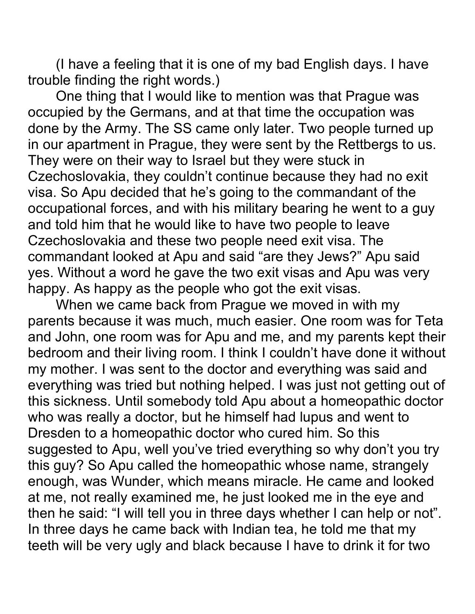(I have a feeling that it is one of my bad English days. I have trouble finding the right words.)

One thing that I would like to mention was that Prague was occupied by the Germans, and at that time the occupation was done by the Army. The SS came only later. Two people turned up in our apartment in Prague, they were sent by the Rettbergs to us. They were on their way to Israel but they were stuck in Czechoslovakia, they couldn't continue because they had no exit visa. So Apu decided that he's going to the commandant of the occupational forces, and with his military bearing he went to a guy and told him that he would like to have two people to leave Czechoslovakia and these two people need exit visa. The commandant looked at Apu and said "are they Jews?" Apu said yes. Without a word he gave the two exit visas and Apu was very happy. As happy as the people who got the exit visas.

When we came back from Prague we moved in with my parents because it was much, much easier. One room was for Teta and John, one room was for Apu and me, and my parents kept their bedroom and their living room. I think I couldn't have done it without my mother. I was sent to the doctor and everything was said and everything was tried but nothing helped. I was just not getting out of this sickness. Until somebody told Apu about a homeopathic doctor who was really a doctor, but he himself had lupus and went to Dresden to a homeopathic doctor who cured him. So this suggested to Apu, well you've tried everything so why don't you try this guy? So Apu called the homeopathic whose name, strangely enough, was Wunder, which means miracle. He came and looked at me, not really examined me, he just looked me in the eye and then he said: "I will tell you in three days whether I can help or not". In three days he came back with Indian tea, he told me that my teeth will be very ugly and black because I have to drink it for two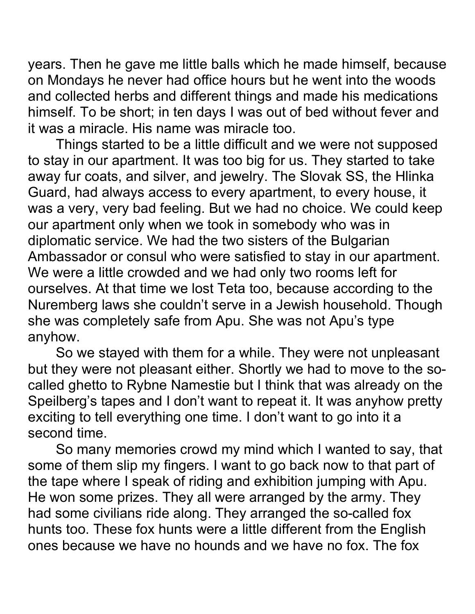years. Then he gave me little balls which he made himself, because on Mondays he never had office hours but he went into the woods and collected herbs and different things and made his medications himself. To be short; in ten days I was out of bed without fever and it was a miracle. His name was miracle too.

Things started to be a little difficult and we were not supposed to stay in our apartment. It was too big for us. They started to take away fur coats, and silver, and jewelry. The Slovak SS, the Hlinka Guard, had always access to every apartment, to every house, it was a very, very bad feeling. But we had no choice. We could keep our apartment only when we took in somebody who was in diplomatic service. We had the two sisters of the Bulgarian Ambassador or consul who were satisfied to stay in our apartment. We were a little crowded and we had only two rooms left for ourselves. At that time we lost Teta too, because according to the Nuremberg laws she couldn't serve in a Jewish household. Though she was completely safe from Apu. She was not Apu's type anyhow.

So we stayed with them for a while. They were not unpleasant but they were not pleasant either. Shortly we had to move to the socalled ghetto to Rybne Namestie but I think that was already on the Speilberg's tapes and I don't want to repeat it. It was anyhow pretty exciting to tell everything one time. I don't want to go into it a second time.

So many memories crowd my mind which I wanted to say, that some of them slip my fingers. I want to go back now to that part of the tape where I speak of riding and exhibition jumping with Apu. He won some prizes. They all were arranged by the army. They had some civilians ride along. They arranged the so-called fox hunts too. These fox hunts were a little different from the English ones because we have no hounds and we have no fox. The fox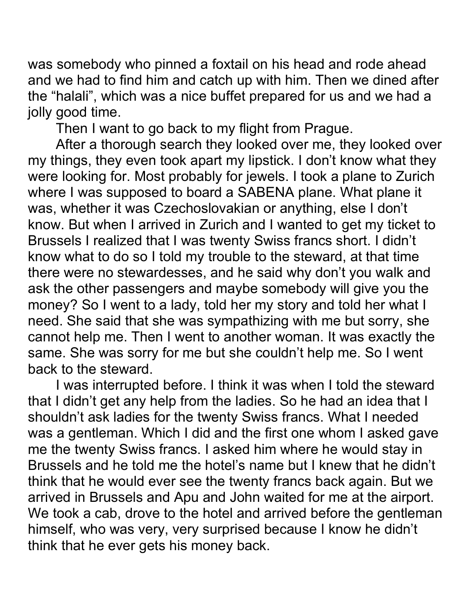was somebody who pinned a foxtail on his head and rode ahead and we had to find him and catch up with him. Then we dined after the "halali", which was a nice buffet prepared for us and we had a jolly good time.

Then I want to go back to my flight from Prague.

After a thorough search they looked over me, they looked over my things, they even took apart my lipstick. I don't know what they were looking for. Most probably for jewels. I took a plane to Zurich where I was supposed to board a SABENA plane. What plane it was, whether it was Czechoslovakian or anything, else I don't know. But when I arrived in Zurich and I wanted to get my ticket to Brussels I realized that I was twenty Swiss francs short. I didn't know what to do so I told my trouble to the steward, at that time there were no stewardesses, and he said why don't you walk and ask the other passengers and maybe somebody will give you the money? So I went to a lady, told her my story and told her what I need. She said that she was sympathizing with me but sorry, she cannot help me. Then I went to another woman. It was exactly the same. She was sorry for me but she couldn't help me. So I went back to the steward.

I was interrupted before. I think it was when I told the steward that I didn't get any help from the ladies. So he had an idea that I shouldn't ask ladies for the twenty Swiss francs. What I needed was a gentleman. Which I did and the first one whom I asked gave me the twenty Swiss francs. I asked him where he would stay in Brussels and he told me the hotel's name but I knew that he didn't think that he would ever see the twenty francs back again. But we arrived in Brussels and Apu and John waited for me at the airport. We took a cab, drove to the hotel and arrived before the gentleman himself, who was very, very surprised because I know he didn't think that he ever gets his money back.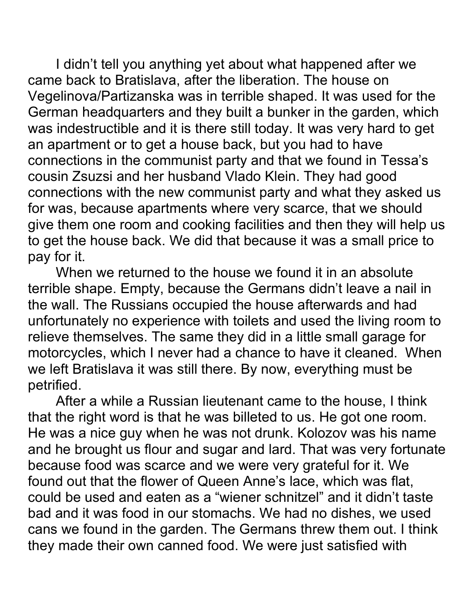I didn't tell you anything yet about what happened after we came back to Bratislava, after the liberation. The house on Vegelinova/Partizanska was in terrible shaped. It was used for the German headquarters and they built a bunker in the garden, which was indestructible and it is there still today. It was very hard to get an apartment or to get a house back, but you had to have connections in the communist party and that we found in Tessa's cousin Zsuzsi and her husband Vlado Klein. They had good connections with the new communist party and what they asked us for was, because apartments where very scarce, that we should give them one room and cooking facilities and then they will help us to get the house back. We did that because it was a small price to pay for it.

When we returned to the house we found it in an absolute terrible shape. Empty, because the Germans didn't leave a nail in the wall. The Russians occupied the house afterwards and had unfortunately no experience with toilets and used the living room to relieve themselves. The same they did in a little small garage for motorcycles, which I never had a chance to have it cleaned. When we left Bratislava it was still there. By now, everything must be petrified.

After a while a Russian lieutenant came to the house, I think that the right word is that he was billeted to us. He got one room. He was a nice guy when he was not drunk. Kolozov was his name and he brought us flour and sugar and lard. That was very fortunate because food was scarce and we were very grateful for it. We found out that the flower of Queen Anne's lace, which was flat, could be used and eaten as a "wiener schnitzel" and it didn't taste bad and it was food in our stomachs. We had no dishes, we used cans we found in the garden. The Germans threw them out. I think they made their own canned food. We were just satisfied with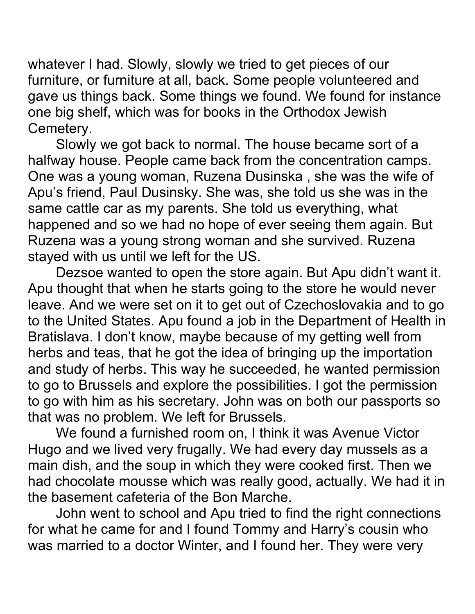whatever I had. Slowly, slowly we tried to get pieces of our furniture, or furniture at all, back. Some people volunteered and gave us things back. Some things we found. We found for instance one big shelf, which was for books in the Orthodox Jewish Cemetery.

Slowly we got back to normal. The house became sort of a halfway house. People came back from the concentration camps. One was a young woman, Ruzena Dusinska , she was the wife of Apu's friend, Paul Dusinsky. She was, she told us she was in the same cattle car as my parents. She told us everything, what happened and so we had no hope of ever seeing them again. But Ruzena was a young strong woman and she survived. Ruzena stayed with us until we left for the US.

Dezsoe wanted to open the store again. But Apu didn't want it. Apu thought that when he starts going to the store he would never leave. And we were set on it to get out of Czechoslovakia and to go to the United States. Apu found a job in the Department of Health in Bratislava. I don't know, maybe because of my getting well from herbs and teas, that he got the idea of bringing up the importation and study of herbs. This way he succeeded, he wanted permission to go to Brussels and explore the possibilities. I got the permission to go with him as his secretary. John was on both our passports so that was no problem. We left for Brussels.

We found a furnished room on, I think it was Avenue Victor Hugo and we lived very frugally. We had every day mussels as a main dish, and the soup in which they were cooked first. Then we had chocolate mousse which was really good, actually. We had it in the basement cafeteria of the Bon Marche.

John went to school and Apu tried to find the right connections for what he came for and I found Tommy and Harry's cousin who was married to a doctor Winter, and I found her. They were very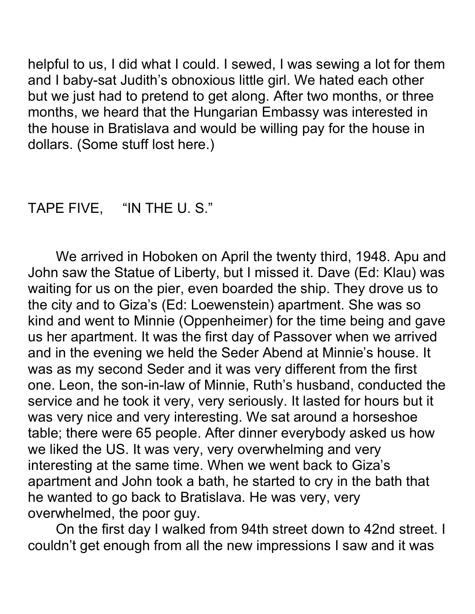helpful to us, I did what I could. I sewed, I was sewing a lot for them and I baby-sat Judith's obnoxious little girl. We hated each other but we just had to pretend to get along. After two months, or three months, we heard that the Hungarian Embassy was interested in the house in Bratislava and would be willing pay for the house in dollars. (Some stuff lost here.)

## TAPE FIVE, "IN THE U. S."

We arrived in Hoboken on April the twenty third, 1948. Apu and John saw the Statue of Liberty, but I missed it. Dave (Ed: Klau) was waiting for us on the pier, even boarded the ship. They drove us to the city and to Giza's (Ed: Loewenstein) apartment. She was so kind and went to Minnie (Oppenheimer) for the time being and gave us her apartment. It was the first day of Passover when we arrived and in the evening we held the Seder Abend at Minnie's house. It was as my second Seder and it was very different from the first one. Leon, the son-in-law of Minnie, Ruth's husband, conducted the service and he took it very, very seriously. It lasted for hours but it was very nice and very interesting. We sat around a horseshoe table; there were 65 people. After dinner everybody asked us how we liked the US. It was very, very overwhelming and very interesting at the same time. When we went back to Giza's apartment and John took a bath, he started to cry in the bath that he wanted to go back to Bratislava. He was very, very overwhelmed, the poor guy.

On the first day I walked from 94th street down to 42nd street. I couldn't get enough from all the new impressions I saw and it was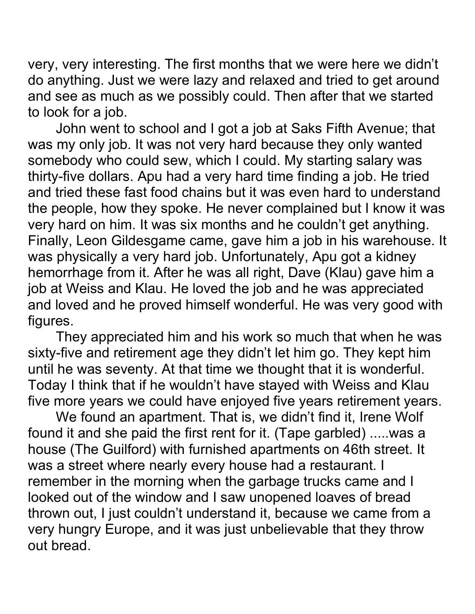very, very interesting. The first months that we were here we didn't do anything. Just we were lazy and relaxed and tried to get around and see as much as we possibly could. Then after that we started to look for a job.

John went to school and I got a job at Saks Fifth Avenue; that was my only job. It was not very hard because they only wanted somebody who could sew, which I could. My starting salary was thirty-five dollars. Apu had a very hard time finding a job. He tried and tried these fast food chains but it was even hard to understand the people, how they spoke. He never complained but I know it was very hard on him. It was six months and he couldn't get anything. Finally, Leon Gildesgame came, gave him a job in his warehouse. It was physically a very hard job. Unfortunately, Apu got a kidney hemorrhage from it. After he was all right, Dave (Klau) gave him a job at Weiss and Klau. He loved the job and he was appreciated and loved and he proved himself wonderful. He was very good with figures.

They appreciated him and his work so much that when he was sixty-five and retirement age they didn't let him go. They kept him until he was seventy. At that time we thought that it is wonderful. Today I think that if he wouldn't have stayed with Weiss and Klau five more years we could have enjoyed five years retirement years.

We found an apartment. That is, we didn't find it, Irene Wolf found it and she paid the first rent for it. (Tape garbled) .....was a house (The Guilford) with furnished apartments on 46th street. It was a street where nearly every house had a restaurant. I remember in the morning when the garbage trucks came and I looked out of the window and I saw unopened loaves of bread thrown out, I just couldn't understand it, because we came from a very hungry Europe, and it was just unbelievable that they throw out bread.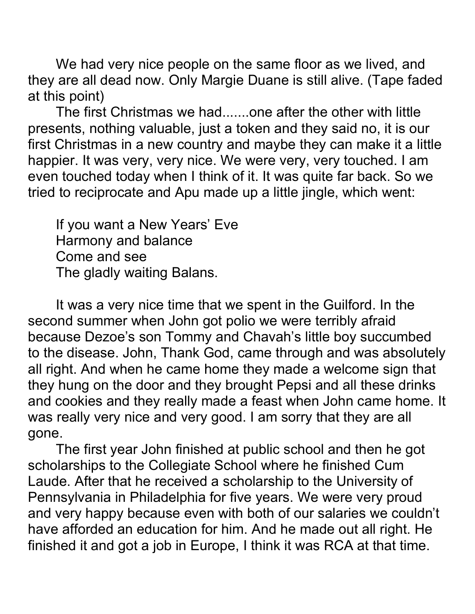We had very nice people on the same floor as we lived, and they are all dead now. Only Margie Duane is still alive. (Tape faded at this point)

The first Christmas we had.......one after the other with little presents, nothing valuable, just a token and they said no, it is our first Christmas in a new country and maybe they can make it a little happier. It was very, very nice. We were very, very touched. I am even touched today when I think of it. It was quite far back. So we tried to reciprocate and Apu made up a little jingle, which went:

If you want a New Years' Eve Harmony and balance Come and see The gladly waiting Balans.

It was a very nice time that we spent in the Guilford. In the second summer when John got polio we were terribly afraid because Dezoe's son Tommy and Chavah's little boy succumbed to the disease. John, Thank God, came through and was absolutely all right. And when he came home they made a welcome sign that they hung on the door and they brought Pepsi and all these drinks and cookies and they really made a feast when John came home. It was really very nice and very good. I am sorry that they are all gone.

The first year John finished at public school and then he got scholarships to the Collegiate School where he finished Cum Laude. After that he received a scholarship to the University of Pennsylvania in Philadelphia for five years. We were very proud and very happy because even with both of our salaries we couldn't have afforded an education for him. And he made out all right. He finished it and got a job in Europe, I think it was RCA at that time.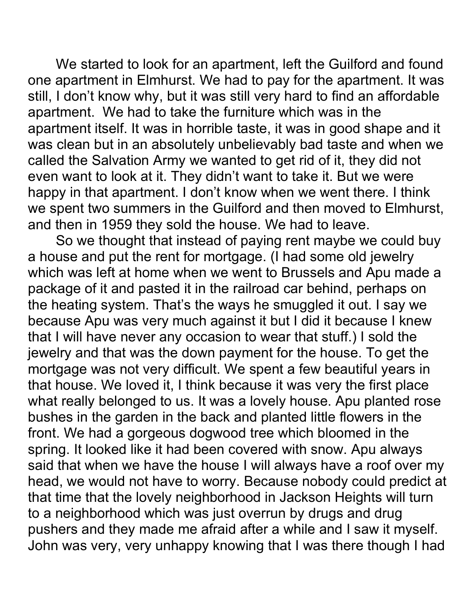We started to look for an apartment, left the Guilford and found one apartment in Elmhurst. We had to pay for the apartment. It was still, I don't know why, but it was still very hard to find an affordable apartment. We had to take the furniture which was in the apartment itself. It was in horrible taste, it was in good shape and it was clean but in an absolutely unbelievably bad taste and when we called the Salvation Army we wanted to get rid of it, they did not even want to look at it. They didn't want to take it. But we were happy in that apartment. I don't know when we went there. I think we spent two summers in the Guilford and then moved to Elmhurst, and then in 1959 they sold the house. We had to leave.

So we thought that instead of paying rent maybe we could buy a house and put the rent for mortgage. (I had some old jewelry which was left at home when we went to Brussels and Apu made a package of it and pasted it in the railroad car behind, perhaps on the heating system. That's the ways he smuggled it out. I say we because Apu was very much against it but I did it because I knew that I will have never any occasion to wear that stuff.) I sold the jewelry and that was the down payment for the house. To get the mortgage was not very difficult. We spent a few beautiful years in that house. We loved it, I think because it was very the first place what really belonged to us. It was a lovely house. Apu planted rose bushes in the garden in the back and planted little flowers in the front. We had a gorgeous dogwood tree which bloomed in the spring. It looked like it had been covered with snow. Apu always said that when we have the house I will always have a roof over my head, we would not have to worry. Because nobody could predict at that time that the lovely neighborhood in Jackson Heights will turn to a neighborhood which was just overrun by drugs and drug pushers and they made me afraid after a while and I saw it myself. John was very, very unhappy knowing that I was there though I had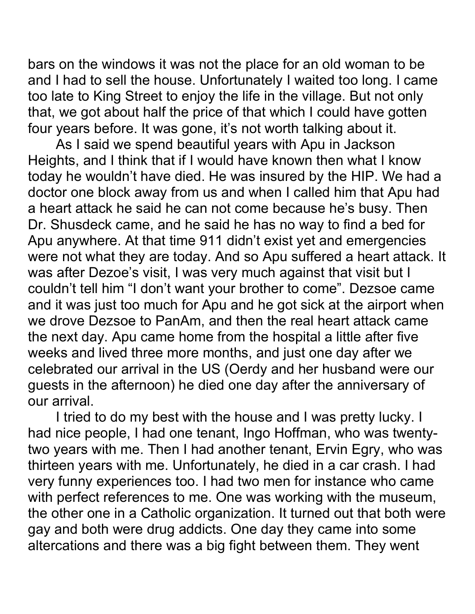bars on the windows it was not the place for an old woman to be and I had to sell the house. Unfortunately I waited too long. I came too late to King Street to enjoy the life in the village. But not only that, we got about half the price of that which I could have gotten four years before. It was gone, it's not worth talking about it.

As I said we spend beautiful years with Apu in Jackson Heights, and I think that if I would have known then what I know today he wouldn't have died. He was insured by the HIP. We had a doctor one block away from us and when I called him that Apu had a heart attack he said he can not come because he's busy. Then Dr. Shusdeck came, and he said he has no way to find a bed for Apu anywhere. At that time 911 didn't exist yet and emergencies were not what they are today. And so Apu suffered a heart attack. It was after Dezoe's visit, I was very much against that visit but I couldn't tell him "I don't want your brother to come". Dezsoe came and it was just too much for Apu and he got sick at the airport when we drove Dezsoe to PanAm, and then the real heart attack came the next day. Apu came home from the hospital a little after five weeks and lived three more months, and just one day after we celebrated our arrival in the US (Oerdy and her husband were our guests in the afternoon) he died one day after the anniversary of our arrival.

I tried to do my best with the house and I was pretty lucky. I had nice people, I had one tenant, Ingo Hoffman, who was twentytwo years with me. Then I had another tenant, Ervin Egry, who was thirteen years with me. Unfortunately, he died in a car crash. I had very funny experiences too. I had two men for instance who came with perfect references to me. One was working with the museum, the other one in a Catholic organization. It turned out that both were gay and both were drug addicts. One day they came into some altercations and there was a big fight between them. They went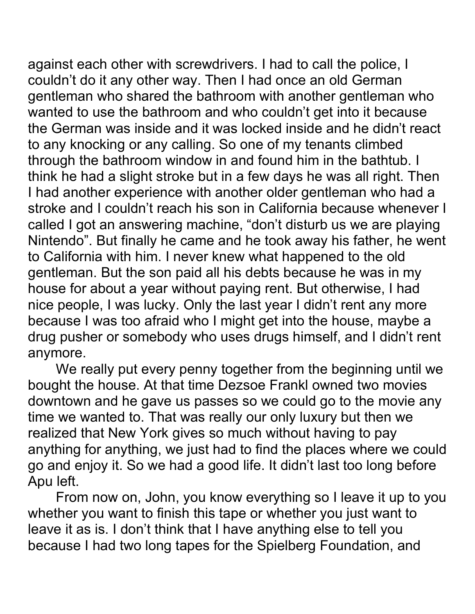against each other with screwdrivers. I had to call the police, I couldn't do it any other way. Then I had once an old German gentleman who shared the bathroom with another gentleman who wanted to use the bathroom and who couldn't get into it because the German was inside and it was locked inside and he didn't react to any knocking or any calling. So one of my tenants climbed through the bathroom window in and found him in the bathtub. I think he had a slight stroke but in a few days he was all right. Then I had another experience with another older gentleman who had a stroke and I couldn't reach his son in California because whenever I called I got an answering machine, "don't disturb us we are playing Nintendo". But finally he came and he took away his father, he went to California with him. I never knew what happened to the old gentleman. But the son paid all his debts because he was in my house for about a year without paying rent. But otherwise, I had nice people, I was lucky. Only the last year I didn't rent any more because I was too afraid who I might get into the house, maybe a drug pusher or somebody who uses drugs himself, and I didn't rent anymore.

We really put every penny together from the beginning until we bought the house. At that time Dezsoe Frankl owned two movies downtown and he gave us passes so we could go to the movie any time we wanted to. That was really our only luxury but then we realized that New York gives so much without having to pay anything for anything, we just had to find the places where we could go and enjoy it. So we had a good life. It didn't last too long before Apu left.

From now on, John, you know everything so I leave it up to you whether you want to finish this tape or whether you just want to leave it as is. I don't think that I have anything else to tell you because I had two long tapes for the Spielberg Foundation, and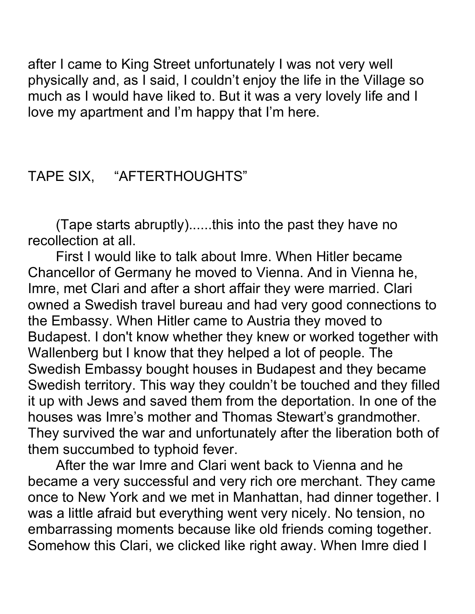after I came to King Street unfortunately I was not very well physically and, as I said, I couldn't enjoy the life in the Village so much as I would have liked to. But it was a very lovely life and I love my apartment and I'm happy that I'm here.

## TAPE SIX, "AFTERTHOUGHTS"

(Tape starts abruptly)......this into the past they have no recollection at all.

First I would like to talk about Imre. When Hitler became Chancellor of Germany he moved to Vienna. And in Vienna he, Imre, met Clari and after a short affair they were married. Clari owned a Swedish travel bureau and had very good connections to the Embassy. When Hitler came to Austria they moved to Budapest. I don't know whether they knew or worked together with Wallenberg but I know that they helped a lot of people. The Swedish Embassy bought houses in Budapest and they became Swedish territory. This way they couldn't be touched and they filled it up with Jews and saved them from the deportation. In one of the houses was Imre's mother and Thomas Stewart's grandmother. They survived the war and unfortunately after the liberation both of them succumbed to typhoid fever.

After the war Imre and Clari went back to Vienna and he became a very successful and very rich ore merchant. They came once to New York and we met in Manhattan, had dinner together. I was a little afraid but everything went very nicely. No tension, no embarrassing moments because like old friends coming together. Somehow this Clari, we clicked like right away. When Imre died I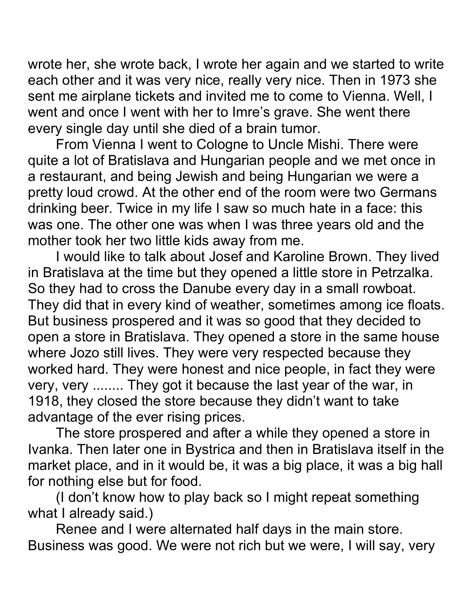wrote her, she wrote back, I wrote her again and we started to write each other and it was very nice, really very nice. Then in 1973 she sent me airplane tickets and invited me to come to Vienna. Well, I went and once I went with her to Imre's grave. She went there every single day until she died of a brain tumor.

From Vienna I went to Cologne to Uncle Mishi. There were quite a lot of Bratislava and Hungarian people and we met once in a restaurant, and being Jewish and being Hungarian we were a pretty loud crowd. At the other end of the room were two Germans drinking beer. Twice in my life I saw so much hate in a face: this was one. The other one was when I was three years old and the mother took her two little kids away from me.

I would like to talk about Josef and Karoline Brown. They lived in Bratislava at the time but they opened a little store in Petrzalka. So they had to cross the Danube every day in a small rowboat. They did that in every kind of weather, sometimes among ice floats. But business prospered and it was so good that they decided to open a store in Bratislava. They opened a store in the same house where Jozo still lives. They were very respected because they worked hard. They were honest and nice people, in fact they were very, very ........ They got it because the last year of the war, in 1918, they closed the store because they didn't want to take advantage of the ever rising prices.

The store prospered and after a while they opened a store in Ivanka. Then later one in Bystrica and then in Bratislava itself in the market place, and in it would be, it was a big place, it was a big hall for nothing else but for food.

(I don't know how to play back so I might repeat something what I already said.)

Renee and I were alternated half days in the main store. Business was good. We were not rich but we were, I will say, very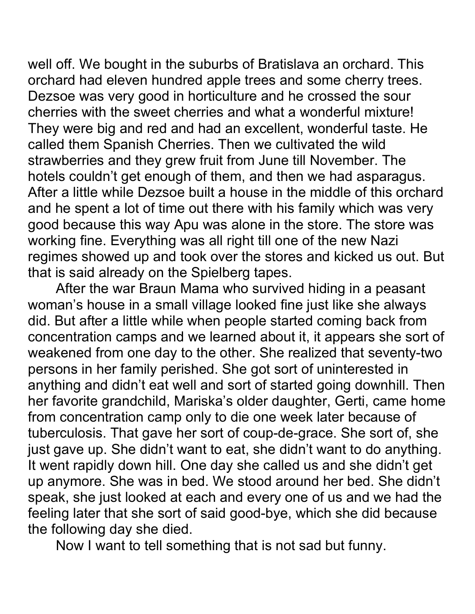well off. We bought in the suburbs of Bratislava an orchard. This orchard had eleven hundred apple trees and some cherry trees. Dezsoe was very good in horticulture and he crossed the sour cherries with the sweet cherries and what a wonderful mixture! They were big and red and had an excellent, wonderful taste. He called them Spanish Cherries. Then we cultivated the wild strawberries and they grew fruit from June till November. The hotels couldn't get enough of them, and then we had asparagus. After a little while Dezsoe built a house in the middle of this orchard and he spent a lot of time out there with his family which was very good because this way Apu was alone in the store. The store was working fine. Everything was all right till one of the new Nazi regimes showed up and took over the stores and kicked us out. But that is said already on the Spielberg tapes.

After the war Braun Mama who survived hiding in a peasant woman's house in a small village looked fine just like she always did. But after a little while when people started coming back from concentration camps and we learned about it, it appears she sort of weakened from one day to the other. She realized that seventy-two persons in her family perished. She got sort of uninterested in anything and didn't eat well and sort of started going downhill. Then her favorite grandchild, Mariska's older daughter, Gerti, came home from concentration camp only to die one week later because of tuberculosis. That gave her sort of coup-de-grace. She sort of, she just gave up. She didn't want to eat, she didn't want to do anything. It went rapidly down hill. One day she called us and she didn't get up anymore. She was in bed. We stood around her bed. She didn't speak, she just looked at each and every one of us and we had the feeling later that she sort of said good-bye, which she did because the following day she died.

Now I want to tell something that is not sad but funny.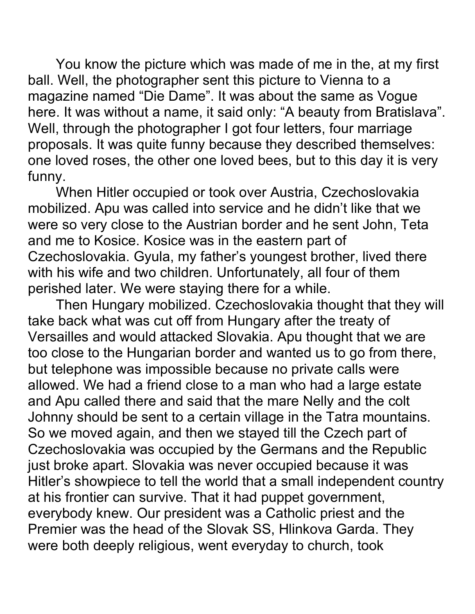You know the picture which was made of me in the, at my first ball. Well, the photographer sent this picture to Vienna to a magazine named "Die Dame". It was about the same as Vogue here. It was without a name, it said only: "A beauty from Bratislava". Well, through the photographer I got four letters, four marriage proposals. It was quite funny because they described themselves: one loved roses, the other one loved bees, but to this day it is very funny.

When Hitler occupied or took over Austria, Czechoslovakia mobilized. Apu was called into service and he didn't like that we were so very close to the Austrian border and he sent John, Teta and me to Kosice. Kosice was in the eastern part of Czechoslovakia. Gyula, my father's youngest brother, lived there with his wife and two children. Unfortunately, all four of them perished later. We were staying there for a while.

Then Hungary mobilized. Czechoslovakia thought that they will take back what was cut off from Hungary after the treaty of Versailles and would attacked Slovakia. Apu thought that we are too close to the Hungarian border and wanted us to go from there, but telephone was impossible because no private calls were allowed. We had a friend close to a man who had a large estate and Apu called there and said that the mare Nelly and the colt Johnny should be sent to a certain village in the Tatra mountains. So we moved again, and then we stayed till the Czech part of Czechoslovakia was occupied by the Germans and the Republic just broke apart. Slovakia was never occupied because it was Hitler's showpiece to tell the world that a small independent country at his frontier can survive. That it had puppet government, everybody knew. Our president was a Catholic priest and the Premier was the head of the Slovak SS, Hlinkova Garda. They were both deeply religious, went everyday to church, took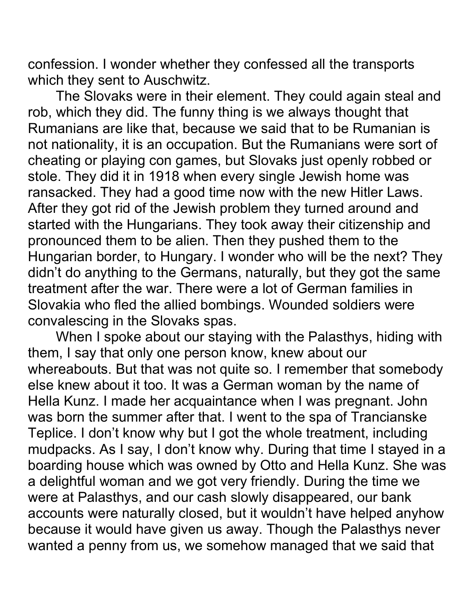confession. I wonder whether they confessed all the transports which they sent to Auschwitz.

The Slovaks were in their element. They could again steal and rob, which they did. The funny thing is we always thought that Rumanians are like that, because we said that to be Rumanian is not nationality, it is an occupation. But the Rumanians were sort of cheating or playing con games, but Slovaks just openly robbed or stole. They did it in 1918 when every single Jewish home was ransacked. They had a good time now with the new Hitler Laws. After they got rid of the Jewish problem they turned around and started with the Hungarians. They took away their citizenship and pronounced them to be alien. Then they pushed them to the Hungarian border, to Hungary. I wonder who will be the next? They didn't do anything to the Germans, naturally, but they got the same treatment after the war. There were a lot of German families in Slovakia who fled the allied bombings. Wounded soldiers were convalescing in the Slovaks spas.

When I spoke about our staying with the Palasthys, hiding with them, I say that only one person know, knew about our whereabouts. But that was not quite so. I remember that somebody else knew about it too. It was a German woman by the name of Hella Kunz. I made her acquaintance when I was pregnant. John was born the summer after that. I went to the spa of Trancianske Teplice. I don't know why but I got the whole treatment, including mudpacks. As I say, I don't know why. During that time I stayed in a boarding house which was owned by Otto and Hella Kunz. She was a delightful woman and we got very friendly. During the time we were at Palasthys, and our cash slowly disappeared, our bank accounts were naturally closed, but it wouldn't have helped anyhow because it would have given us away. Though the Palasthys never wanted a penny from us, we somehow managed that we said that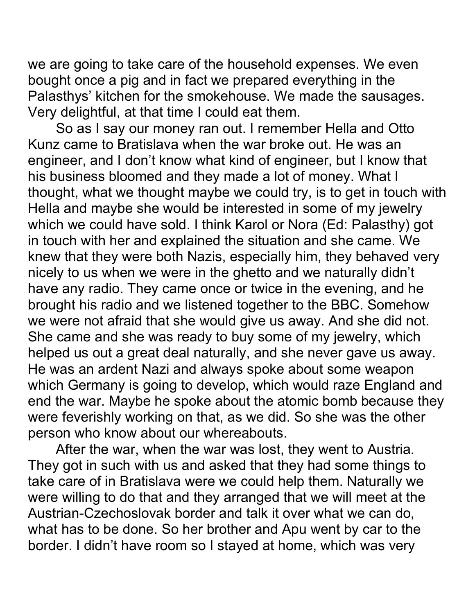we are going to take care of the household expenses. We even bought once a pig and in fact we prepared everything in the Palasthys' kitchen for the smokehouse. We made the sausages. Very delightful, at that time I could eat them.

So as I say our money ran out. I remember Hella and Otto Kunz came to Bratislava when the war broke out. He was an engineer, and I don't know what kind of engineer, but I know that his business bloomed and they made a lot of money. What I thought, what we thought maybe we could try, is to get in touch with Hella and maybe she would be interested in some of my jewelry which we could have sold. I think Karol or Nora (Ed: Palasthy) got in touch with her and explained the situation and she came. We knew that they were both Nazis, especially him, they behaved very nicely to us when we were in the ghetto and we naturally didn't have any radio. They came once or twice in the evening, and he brought his radio and we listened together to the BBC. Somehow we were not afraid that she would give us away. And she did not. She came and she was ready to buy some of my jewelry, which helped us out a great deal naturally, and she never gave us away. He was an ardent Nazi and always spoke about some weapon which Germany is going to develop, which would raze England and end the war. Maybe he spoke about the atomic bomb because they were feverishly working on that, as we did. So she was the other person who know about our whereabouts.

After the war, when the war was lost, they went to Austria. They got in such with us and asked that they had some things to take care of in Bratislava were we could help them. Naturally we were willing to do that and they arranged that we will meet at the Austrian-Czechoslovak border and talk it over what we can do, what has to be done. So her brother and Apu went by car to the border. I didn't have room so I stayed at home, which was very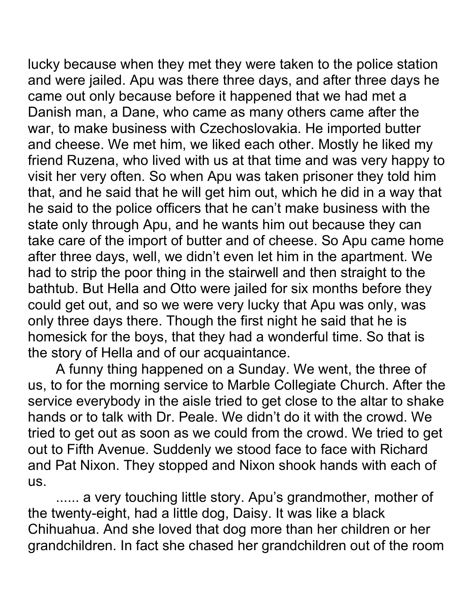lucky because when they met they were taken to the police station and were jailed. Apu was there three days, and after three days he came out only because before it happened that we had met a Danish man, a Dane, who came as many others came after the war, to make business with Czechoslovakia. He imported butter and cheese. We met him, we liked each other. Mostly he liked my friend Ruzena, who lived with us at that time and was very happy to visit her very often. So when Apu was taken prisoner they told him that, and he said that he will get him out, which he did in a way that he said to the police officers that he can't make business with the state only through Apu, and he wants him out because they can take care of the import of butter and of cheese. So Apu came home after three days, well, we didn't even let him in the apartment. We had to strip the poor thing in the stairwell and then straight to the bathtub. But Hella and Otto were jailed for six months before they could get out, and so we were very lucky that Apu was only, was only three days there. Though the first night he said that he is homesick for the boys, that they had a wonderful time. So that is the story of Hella and of our acquaintance.

A funny thing happened on a Sunday. We went, the three of us, to for the morning service to Marble Collegiate Church. After the service everybody in the aisle tried to get close to the altar to shake hands or to talk with Dr. Peale. We didn't do it with the crowd. We tried to get out as soon as we could from the crowd. We tried to get out to Fifth Avenue. Suddenly we stood face to face with Richard and Pat Nixon. They stopped and Nixon shook hands with each of us.

...... a very touching little story. Apu's grandmother, mother of the twenty-eight, had a little dog, Daisy. It was like a black Chihuahua. And she loved that dog more than her children or her grandchildren. In fact she chased her grandchildren out of the room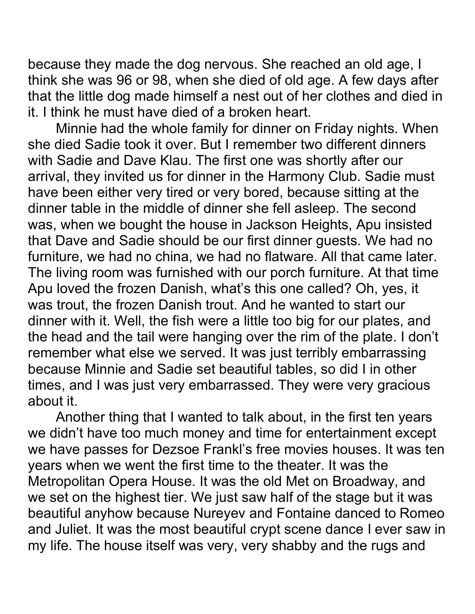because they made the dog nervous. She reached an old age, I think she was 96 or 98, when she died of old age. A few days after that the little dog made himself a nest out of her clothes and died in it. I think he must have died of a broken heart.

Minnie had the whole family for dinner on Friday nights. When she died Sadie took it over. But I remember two different dinners with Sadie and Dave Klau. The first one was shortly after our arrival, they invited us for dinner in the Harmony Club. Sadie must have been either very tired or very bored, because sitting at the dinner table in the middle of dinner she fell asleep. The second was, when we bought the house in Jackson Heights, Apu insisted that Dave and Sadie should be our first dinner guests. We had no furniture, we had no china, we had no flatware. All that came later. The living room was furnished with our porch furniture. At that time Apu loved the frozen Danish, what's this one called? Oh, yes, it was trout, the frozen Danish trout. And he wanted to start our dinner with it. Well, the fish were a little too big for our plates, and the head and the tail were hanging over the rim of the plate. I don't remember what else we served. It was just terribly embarrassing because Minnie and Sadie set beautiful tables, so did I in other times, and I was just very embarrassed. They were very gracious about it.

Another thing that I wanted to talk about, in the first ten years we didn't have too much money and time for entertainment except we have passes for Dezsoe Frankl's free movies houses. It was ten years when we went the first time to the theater. It was the Metropolitan Opera House. It was the old Met on Broadway, and we set on the highest tier. We just saw half of the stage but it was beautiful anyhow because Nureyev and Fontaine danced to Romeo and Juliet. It was the most beautiful crypt scene dance I ever saw in my life. The house itself was very, very shabby and the rugs and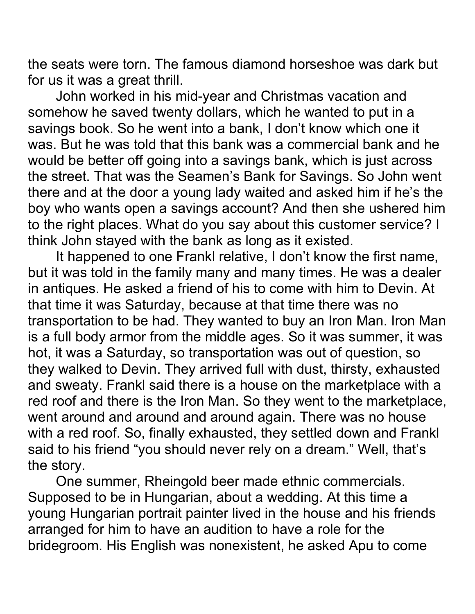the seats were torn. The famous diamond horseshoe was dark but for us it was a great thrill.

John worked in his mid-year and Christmas vacation and somehow he saved twenty dollars, which he wanted to put in a savings book. So he went into a bank, I don't know which one it was. But he was told that this bank was a commercial bank and he would be better off going into a savings bank, which is just across the street. That was the Seamen's Bank for Savings. So John went there and at the door a young lady waited and asked him if he's the boy who wants open a savings account? And then she ushered him to the right places. What do you say about this customer service? I think John stayed with the bank as long as it existed.

It happened to one Frankl relative, I don't know the first name, but it was told in the family many and many times. He was a dealer in antiques. He asked a friend of his to come with him to Devin. At that time it was Saturday, because at that time there was no transportation to be had. They wanted to buy an Iron Man. Iron Man is a full body armor from the middle ages. So it was summer, it was hot, it was a Saturday, so transportation was out of question, so they walked to Devin. They arrived full with dust, thirsty, exhausted and sweaty. Frankl said there is a house on the marketplace with a red roof and there is the Iron Man. So they went to the marketplace, went around and around and around again. There was no house with a red roof. So, finally exhausted, they settled down and Frankl said to his friend "you should never rely on a dream." Well, that's the story.

One summer, Rheingold beer made ethnic commercials. Supposed to be in Hungarian, about a wedding. At this time a young Hungarian portrait painter lived in the house and his friends arranged for him to have an audition to have a role for the bridegroom. His English was nonexistent, he asked Apu to come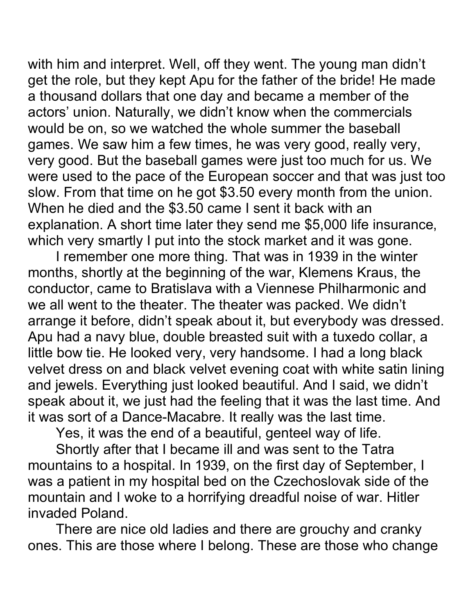with him and interpret. Well, off they went. The young man didn't get the role, but they kept Apu for the father of the bride! He made a thousand dollars that one day and became a member of the actors' union. Naturally, we didn't know when the commercials would be on, so we watched the whole summer the baseball games. We saw him a few times, he was very good, really very, very good. But the baseball games were just too much for us. We were used to the pace of the European soccer and that was just too slow. From that time on he got \$3.50 every month from the union. When he died and the \$3.50 came I sent it back with an explanation. A short time later they send me \$5,000 life insurance, which very smartly I put into the stock market and it was gone.

I remember one more thing. That was in 1939 in the winter months, shortly at the beginning of the war, Klemens Kraus, the conductor, came to Bratislava with a Viennese Philharmonic and we all went to the theater. The theater was packed. We didn't arrange it before, didn't speak about it, but everybody was dressed. Apu had a navy blue, double breasted suit with a tuxedo collar, a little bow tie. He looked very, very handsome. I had a long black velvet dress on and black velvet evening coat with white satin lining and jewels. Everything just looked beautiful. And I said, we didn't speak about it, we just had the feeling that it was the last time. And it was sort of a Dance-Macabre. It really was the last time.

Yes, it was the end of a beautiful, genteel way of life.

Shortly after that I became ill and was sent to the Tatra mountains to a hospital. In 1939, on the first day of September, I was a patient in my hospital bed on the Czechoslovak side of the mountain and I woke to a horrifying dreadful noise of war. Hitler invaded Poland.

There are nice old ladies and there are grouchy and cranky ones. This are those where I belong. These are those who change